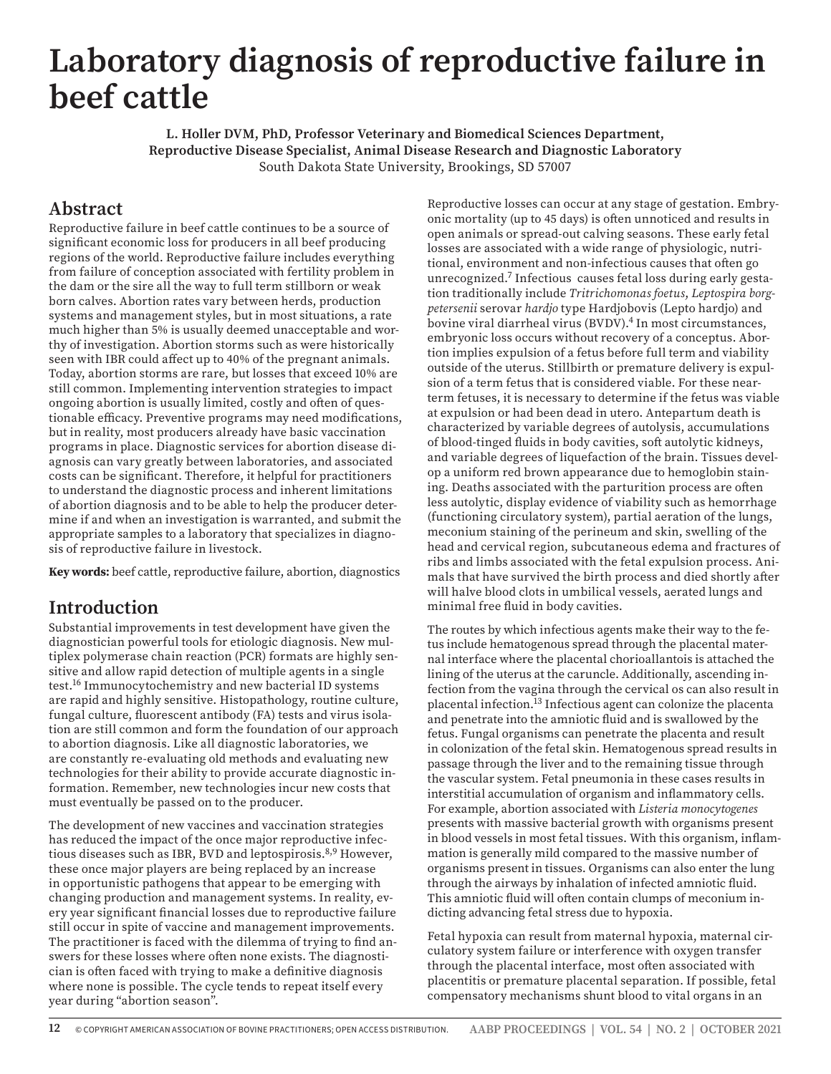# **Laboratory diagnosis of reproductive failure in beef cattle**

**L. Holler DVM, PhD, Professor Veterinary and Biomedical Sciences Department, Reproductive Disease Specialist, Animal Disease Research and Diagnostic Laboratory**  South Dakota State University, Brookings, SD 57007

## **Abstract**

Reproductive failure in beef cattle continues to be a source of significant economic loss for producers in all beef producing regions of the world. Reproductive failure includes everything from failure of conception associated with fertility problem in the dam or the sire all the way to full term stillborn or weak born calves. Abortion rates vary between herds, production systems and management styles, but in most situations, a rate much higher than 5% is usually deemed unacceptable and worthy of investigation. Abortion storms such as were historically seen with IBR could affect up to 40% of the pregnant animals. Today, abortion storms are rare, but losses that exceed 10% are still common. Implementing intervention strategies to impact ongoing abortion is usually limited, costly and often of questionable efficacy. Preventive programs may need modifications, but in reality, most producers already have basic vaccination programs in place. Diagnostic services for abortion disease diagnosis can vary greatly between laboratories, and associated costs can be significant. Therefore, it helpful for practitioners to understand the diagnostic process and inherent limitations of abortion diagnosis and to be able to help the producer determine if and when an investigation is warranted, and submit the appropriate samples to a laboratory that specializes in diagnosis of reproductive failure in livestock.

**Key words:** beef cattle, reproductive failure, abortion, diagnostics

#### **Introduction**

Substantial improvements in test development have given the diagnostician powerful tools for etiologic diagnosis. New multiplex polymerase chain reaction (PCR) formats are highly sensitive and allow rapid detection of multiple agents in a single test.16 Immunocytochemistry and new bacterial ID systems are rapid and highly sensitive. Histopathology, routine culture, fungal culture, fluorescent antibody (FA) tests and virus isolation are still common and form the foundation of our approach to abortion diagnosis. Like all diagnostic laboratories, we are constantly re-evaluating old methods and evaluating new technologies for their ability to provide accurate diagnostic information. Remember, new technologies incur new costs that must eventually be passed on to the producer.

The development of new vaccines and vaccination strategies has reduced the impact of the once major reproductive infectious diseases such as IBR, BVD and leptospirosis.<sup>8,9</sup> However, these once major players are being replaced by an increase in opportunistic pathogens that appear to be emerging with changing production and management systems. In reality, every year significant financial losses due to reproductive failure still occur in spite of vaccine and management improvements. The practitioner is faced with the dilemma of trying to find answers for these losses where often none exists. The diagnostician is often faced with trying to make a definitive diagnosis where none is possible. The cycle tends to repeat itself every year during "abortion season".

Reproductive losses can occur at any stage of gestation. Embryonic mortality (up to 45 days) is often unnoticed and results in open animals or spread-out calving seasons. These early fetal losses are associated with a wide range of physiologic, nutritional, environment and non-infectious causes that often go unrecognized.7 Infectious causes fetal loss during early gestation traditionally include *Tritrichomonas foetus*, *Leptospira borgpetersenii* serovar *hardjo* type Hardjobovis (Lepto hardjo) and bovine viral diarrheal virus (BVDV).<sup>4</sup> In most circumstances, embryonic loss occurs without recovery of a conceptus. Abortion implies expulsion of a fetus before full term and viability outside of the uterus. Stillbirth or premature delivery is expulsion of a term fetus that is considered viable. For these nearterm fetuses, it is necessary to determine if the fetus was viable at expulsion or had been dead in utero. Antepartum death is characterized by variable degrees of autolysis, accumulations of blood-tinged fluids in body cavities, soft autolytic kidneys, and variable degrees of liquefaction of the brain. Tissues develop a uniform red brown appearance due to hemoglobin staining. Deaths associated with the parturition process are often less autolytic, display evidence of viability such as hemorrhage (functioning circulatory system), partial aeration of the lungs, meconium staining of the perineum and skin, swelling of the head and cervical region, subcutaneous edema and fractures of ribs and limbs associated with the fetal expulsion process. Animals that have survived the birth process and died shortly after will halve blood clots in umbilical vessels, aerated lungs and minimal free fluid in body cavities.

The routes by which infectious agents make their way to the fetus include hematogenous spread through the placental maternal interface where the placental chorioallantois is attached the lining of the uterus at the caruncle. Additionally, ascending infection from the vagina through the cervical os can also result in placental infection.13 Infectious agent can colonize the placenta and penetrate into the amniotic fluid and is swallowed by the fetus. Fungal organisms can penetrate the placenta and result in colonization of the fetal skin. Hematogenous spread results in passage through the liver and to the remaining tissue through the vascular system. Fetal pneumonia in these cases results in interstitial accumulation of organism and inflammatory cells. For example, abortion associated with *Listeria monocytogenes* presents with massive bacterial growth with organisms present in blood vessels in most fetal tissues. With this organism, inflammation is generally mild compared to the massive number of organisms present in tissues. Organisms can also enter the lung through the airways by inhalation of infected amniotic fluid. This amniotic fluid will often contain clumps of meconium indicting advancing fetal stress due to hypoxia.

Fetal hypoxia can result from maternal hypoxia, maternal circulatory system failure or interference with oxygen transfer through the placental interface, most often associated with placentitis or premature placental separation. If possible, fetal compensatory mechanisms shunt blood to vital organs in an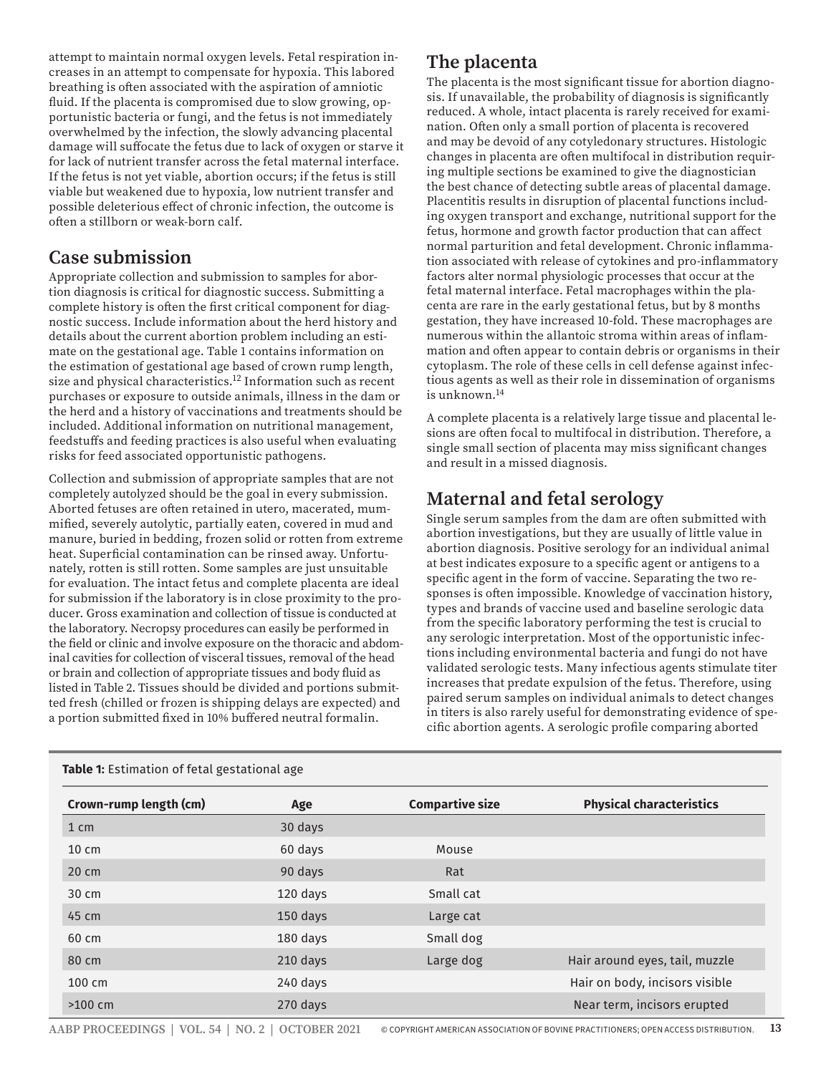attempt to maintain normal oxygen levels. Fetal respiration increases in an attempt to compensate for hypoxia. This labored breathing is often associated with the aspiration of amniotic fluid. If the placenta is compromised due to slow growing, opportunistic bacteria or fungi, and the fetus is not immediately overwhelmed by the infection, the slowly advancing placental damage will suffocate the fetus due to lack of oxygen or starve it for lack of nutrient transfer across the fetal maternal interface. If the fetus is not yet viable, abortion occurs; if the fetus is still viable but weakened due to hypoxia, low nutrient transfer and possible deleterious effect of chronic infection, the outcome is often a stillborn or weak-born calf.

#### **Case submission**

Appropriate collection and submission to samples for abortion diagnosis is critical for diagnostic success. Submitting a complete history is often the first critical component for diagnostic success. Include information about the herd history and details about the current abortion problem including an estimate on the gestational age. Table 1 contains information on the estimation of gestational age based of crown rump length, size and physical characteristics.<sup>12</sup> Information such as recent purchases or exposure to outside animals, illness in the dam or the herd and a history of vaccinations and treatments should be included. Additional information on nutritional management, feedstuffs and feeding practices is also useful when evaluating risks for feed associated opportunistic pathogens.

Collection and submission of appropriate samples that are not completely autolyzed should be the goal in every submission. Aborted fetuses are often retained in utero, macerated, mummified, severely autolytic, partially eaten, covered in mud and manure, buried in bedding, frozen solid or rotten from extreme heat. Superficial contamination can be rinsed away. Unfortunately, rotten is still rotten. Some samples are just unsuitable for evaluation. The intact fetus and complete placenta are ideal for submission if the laboratory is in close proximity to the producer. Gross examination and collection of tissue is conducted at the laboratory. Necropsy procedures can easily be performed in the field or clinic and involve exposure on the thoracic and abdominal cavities for collection of visceral tissues, removal of the head or brain and collection of appropriate tissues and body fluid as listed in Table 2. Tissues should be divided and portions submitted fresh (chilled or frozen is shipping delays are expected) and a portion submitted fixed in 10% buffered neutral formalin.

# **The placenta**

The placenta is the most significant tissue for abortion diagnosis. If unavailable, the probability of diagnosis is significantly reduced. A whole, intact placenta is rarely received for examination. Often only a small portion of placenta is recovered and may be devoid of any cotyledonary structures. Histologic changes in placenta are often multifocal in distribution requiring multiple sections be examined to give the diagnostician the best chance of detecting subtle areas of placental damage. Placentitis results in disruption of placental functions including oxygen transport and exchange, nutritional support for the fetus, hormone and growth factor production that can affect normal parturition and fetal development. Chronic inflammation associated with release of cytokines and pro-inflammatory factors alter normal physiologic processes that occur at the fetal maternal interface. Fetal macrophages within the placenta are rare in the early gestational fetus, but by 8 months gestation, they have increased 10-fold. These macrophages are numerous within the allantoic stroma within areas of inflammation and often appear to contain debris or organisms in their cytoplasm. The role of these cells in cell defense against infectious agents as well as their role in dissemination of organisms is unknown.14

A complete placenta is a relatively large tissue and placental lesions are often focal to multifocal in distribution. Therefore, a single small section of placenta may miss significant changes and result in a missed diagnosis.

# **Maternal and fetal serology**

Single serum samples from the dam are often submitted with abortion investigations, but they are usually of little value in abortion diagnosis. Positive serology for an individual animal at best indicates exposure to a specific agent or antigens to a specific agent in the form of vaccine. Separating the two responses is often impossible. Knowledge of vaccination history, types and brands of vaccine used and baseline serologic data from the specific laboratory performing the test is crucial to any serologic interpretation. Most of the opportunistic infections including environmental bacteria and fungi do not have validated serologic tests. Many infectious agents stimulate titer increases that predate expulsion of the fetus. Therefore, using paired serum samples on individual animals to detect changes in titers is also rarely useful for demonstrating evidence of specific abortion agents. A serologic profile comparing aborted

| Crown-rump length (cm) | Age      | <b>Compartive size</b> | <b>Physical characteristics</b> |
|------------------------|----------|------------------------|---------------------------------|
| $1 \text{ cm}$         | 30 days  |                        |                                 |
| $10 \text{ cm}$        | 60 days  | Mouse                  |                                 |
| $20 \text{ cm}$        | 90 days  | Rat                    |                                 |
| $30 \text{ cm}$        | 120 days | Small cat              |                                 |
| 45 cm                  | 150 days | Large cat              |                                 |
| 60 cm                  | 180 days | Small dog              |                                 |
| 80 cm                  | 210 days | Large dog              | Hair around eyes, tail, muzzle  |
| $100 \text{ cm}$       | 240 days |                        | Hair on body, incisors visible  |
| $>100$ cm              | 270 days |                        | Near term, incisors erupted     |

**Table 1:** Estimation of fetal gestational age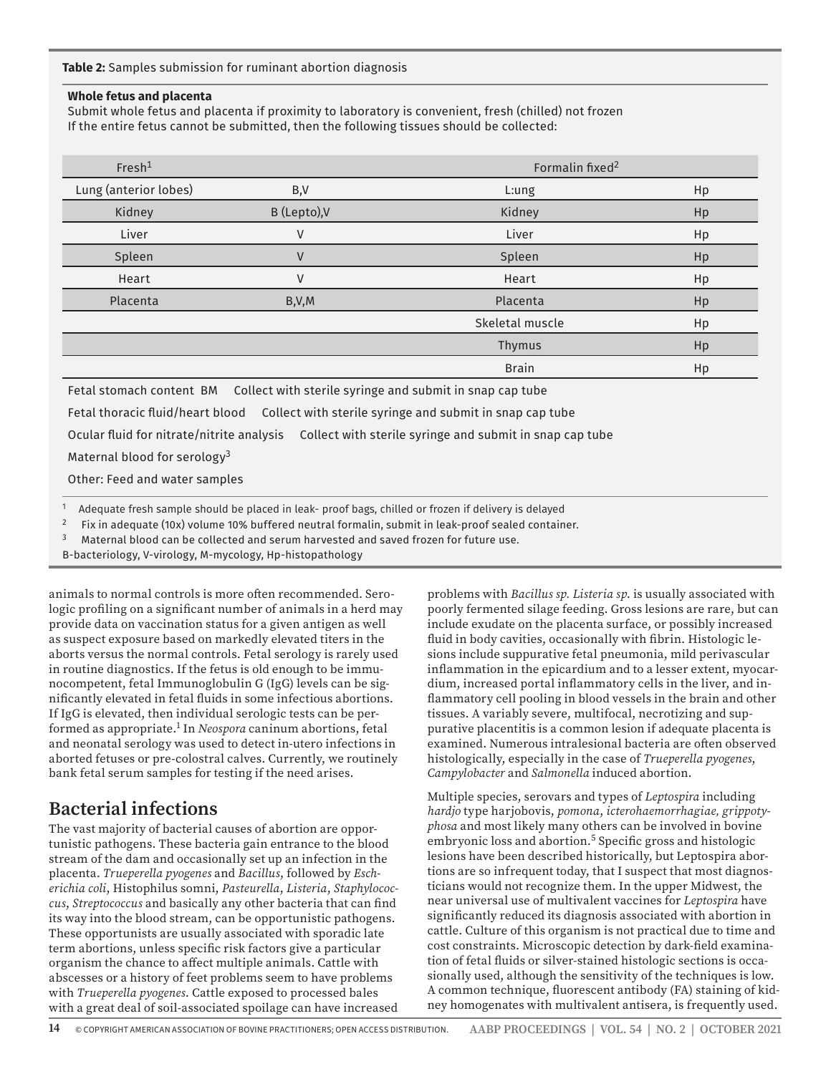**Table 2:** Samples submission for ruminant abortion diagnosis

#### **Whole fetus and placenta**

Submit whole fetus and placenta if proximity to laboratory is convenient, fresh (chilled) not frozen If the entire fetus cannot be submitted, then the following tissues should be collected:

| Fresh <sup>1</sup>    |              | Formalin fixed <sup>2</sup> |    |  |
|-----------------------|--------------|-----------------------------|----|--|
| Lung (anterior lobes) | B,V          | L:ung                       | Hp |  |
| Kidney                | B (Lepto), V | Kidney                      | Hp |  |
| Liver                 | v            | Liver                       | Hp |  |
| Spleen                | $\vee$       | Spleen                      | Hp |  |
| Heart                 | v            | Heart                       | Hp |  |
| Placenta              | B, V, M      | Placenta                    | Hp |  |
|                       |              | Skeletal muscle             | Hp |  |
|                       |              | Thymus                      | Hp |  |
|                       |              | <b>Brain</b>                | Hp |  |

Fetal stomach content BM Collect with sterile syringe and submit in snap cap tube

Fetal thoracic fluid/heart blood Collect with sterile syringe and submit in snap cap tube

Ocular fluid for nitrate/nitrite analysis Collect with sterile syringe and submit in snap cap tube

Maternal blood for serology<sup>3</sup>

Other: Feed and water samples

<sup>1</sup> Adequate fresh sample should be placed in leak- proof bags, chilled or frozen if delivery is delayed

<sup>2</sup> Fix in adequate (10x) volume 10% buffered neutral formalin, submit in leak-proof sealed container.

 $3$  Maternal blood can be collected and serum harvested and saved frozen for future use.

B-bacteriology, V-virology, M-mycology, Hp-histopathology

animals to normal controls is more often recommended. Serologic profiling on a significant number of animals in a herd may provide data on vaccination status for a given antigen as well as suspect exposure based on markedly elevated titers in the aborts versus the normal controls. Fetal serology is rarely used in routine diagnostics. If the fetus is old enough to be immunocompetent, fetal Immunoglobulin G (IgG) levels can be significantly elevated in fetal fluids in some infectious abortions. If IgG is elevated, then individual serologic tests can be performed as appropriate.1 In *Neospora* caninum abortions, fetal and neonatal serology was used to detect in-utero infections in aborted fetuses or pre-colostral calves. Currently, we routinely bank fetal serum samples for testing if the need arises.

### **Bacterial infections**

The vast majority of bacterial causes of abortion are opportunistic pathogens. These bacteria gain entrance to the blood stream of the dam and occasionally set up an infection in the placenta. *Trueperella pyogenes* and *Bacillus*, followed by *Escherichia coli*, Histophilus somni, *Pasteurella*, *Listeria*, *Staphylococcus*, *Streptococcus* and basically any other bacteria that can find its way into the blood stream, can be opportunistic pathogens. These opportunists are usually associated with sporadic late term abortions, unless specific risk factors give a particular organism the chance to affect multiple animals. Cattle with abscesses or a history of feet problems seem to have problems with *Trueperella pyogenes*. Cattle exposed to processed bales with a great deal of soil-associated spoilage can have increased problems with *Bacillus sp. Listeria sp*. is usually associated with poorly fermented silage feeding. Gross lesions are rare, but can include exudate on the placenta surface, or possibly increased fluid in body cavities, occasionally with fibrin. Histologic lesions include suppurative fetal pneumonia, mild perivascular inflammation in the epicardium and to a lesser extent, myocardium, increased portal inflammatory cells in the liver, and inflammatory cell pooling in blood vessels in the brain and other tissues. A variably severe, multifocal, necrotizing and suppurative placentitis is a common lesion if adequate placenta is examined. Numerous intralesional bacteria are often observed histologically, especially in the case of *Trueperella pyogenes*, *Campylobacter* and *Salmonella* induced abortion.

Multiple species, serovars and types of *Leptospira* including *hardjo* type harjobovis, *pomona*, *icterohaemorrhagiae, grippotyphosa* and most likely many others can be involved in bovine embryonic loss and abortion.<sup>5</sup> Specific gross and histologic lesions have been described historically, but Leptospira abortions are so infrequent today, that I suspect that most diagnosticians would not recognize them. In the upper Midwest, the near universal use of multivalent vaccines for *Leptospira* have significantly reduced its diagnosis associated with abortion in cattle. Culture of this organism is not practical due to time and cost constraints. Microscopic detection by dark-field examination of fetal fluids or silver-stained histologic sections is occasionally used, although the sensitivity of the techniques is low. A common technique, fluorescent antibody (FA) staining of kidney homogenates with multivalent antisera, is frequently used.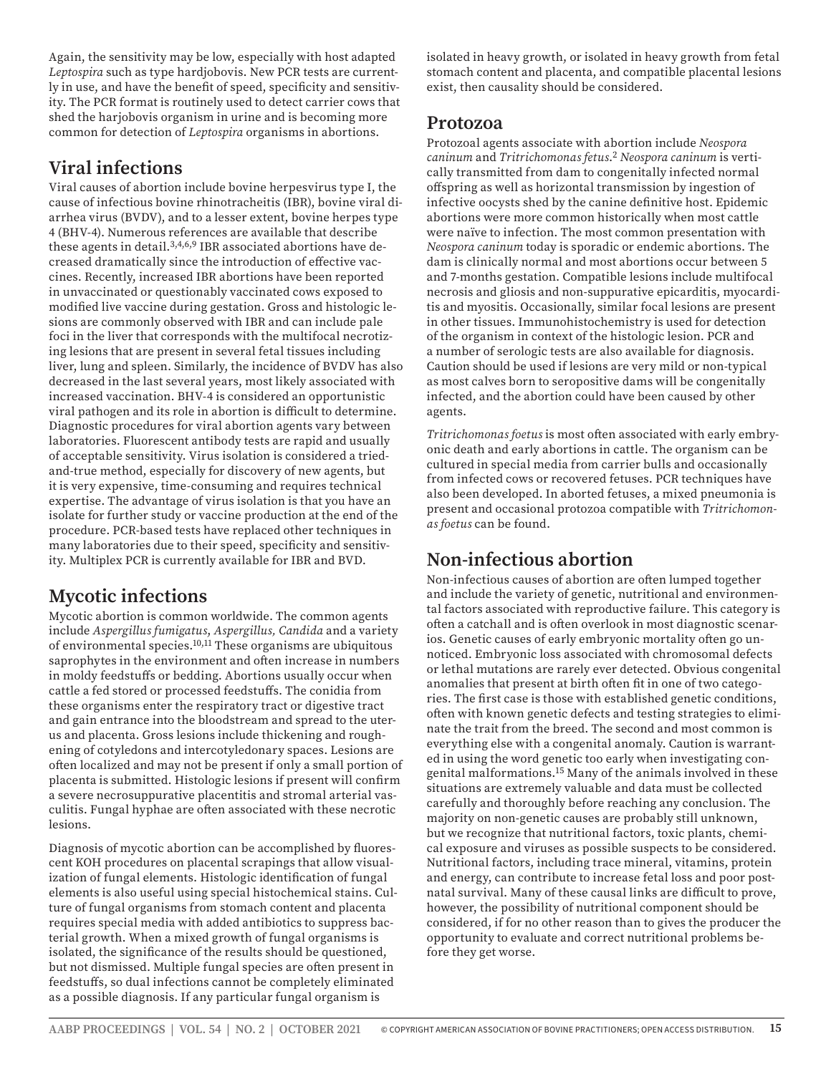Again, the sensitivity may be low, especially with host adapted *Leptospira* such as type hardjobovis. New PCR tests are currently in use, and have the benefit of speed, specificity and sensitivity. The PCR format is routinely used to detect carrier cows that shed the harjobovis organism in urine and is becoming more common for detection of *Leptospira* organisms in abortions.

# **Viral infections**

Viral causes of abortion include bovine herpesvirus type I, the cause of infectious bovine rhinotracheitis (IBR), bovine viral diarrhea virus (BVDV), and to a lesser extent, bovine herpes type 4 (BHV-4). Numerous references are available that describe these agents in detail.3,4,6,9 IBR associated abortions have decreased dramatically since the introduction of effective vaccines. Recently, increased IBR abortions have been reported in unvaccinated or questionably vaccinated cows exposed to modified live vaccine during gestation. Gross and histologic lesions are commonly observed with IBR and can include pale foci in the liver that corresponds with the multifocal necrotizing lesions that are present in several fetal tissues including liver, lung and spleen. Similarly, the incidence of BVDV has also decreased in the last several years, most likely associated with increased vaccination. BHV-4 is considered an opportunistic viral pathogen and its role in abortion is difficult to determine. Diagnostic procedures for viral abortion agents vary between laboratories. Fluorescent antibody tests are rapid and usually of acceptable sensitivity. Virus isolation is considered a triedand-true method, especially for discovery of new agents, but it is very expensive, time-consuming and requires technical expertise. The advantage of virus isolation is that you have an isolate for further study or vaccine production at the end of the procedure. PCR-based tests have replaced other techniques in many laboratories due to their speed, specificity and sensitivity. Multiplex PCR is currently available for IBR and BVD.

# **Mycotic infections**

Mycotic abortion is common worldwide. The common agents include *Aspergillus fumigatus*, *Aspergillus, Candida* and a variety of environmental species.10,11 These organisms are ubiquitous saprophytes in the environment and often increase in numbers in moldy feedstuffs or bedding. Abortions usually occur when cattle a fed stored or processed feedstuffs. The conidia from these organisms enter the respiratory tract or digestive tract and gain entrance into the bloodstream and spread to the uterus and placenta. Gross lesions include thickening and roughening of cotyledons and intercotyledonary spaces. Lesions are often localized and may not be present if only a small portion of placenta is submitted. Histologic lesions if present will confirm a severe necrosuppurative placentitis and stromal arterial vasculitis. Fungal hyphae are often associated with these necrotic lesions.

Diagnosis of mycotic abortion can be accomplished by fluorescent KOH procedures on placental scrapings that allow visualization of fungal elements. Histologic identification of fungal elements is also useful using special histochemical stains. Culture of fungal organisms from stomach content and placenta requires special media with added antibiotics to suppress bacterial growth. When a mixed growth of fungal organisms is isolated, the significance of the results should be questioned, but not dismissed. Multiple fungal species are often present in feedstuffs, so dual infections cannot be completely eliminated as a possible diagnosis. If any particular fungal organism is

isolated in heavy growth, or isolated in heavy growth from fetal stomach content and placenta, and compatible placental lesions exist, then causality should be considered.

#### **Protozoa**

Protozoal agents associate with abortion include *Neospora caninum* and *Tritrichomonas fetus*. <sup>2</sup> *Neospora caninum* is vertically transmitted from dam to congenitally infected normal offspring as well as horizontal transmission by ingestion of infective oocysts shed by the canine definitive host. Epidemic abortions were more common historically when most cattle were naïve to infection. The most common presentation with *Neospora caninum* today is sporadic or endemic abortions. The dam is clinically normal and most abortions occur between 5 and 7-months gestation. Compatible lesions include multifocal necrosis and gliosis and non-suppurative epicarditis, myocarditis and myositis. Occasionally, similar focal lesions are present in other tissues. Immunohistochemistry is used for detection of the organism in context of the histologic lesion. PCR and a number of serologic tests are also available for diagnosis. Caution should be used if lesions are very mild or non-typical as most calves born to seropositive dams will be congenitally infected, and the abortion could have been caused by other agents.

*Tritrichomonas foetus* is most often associated with early embryonic death and early abortions in cattle. The organism can be cultured in special media from carrier bulls and occasionally from infected cows or recovered fetuses. PCR techniques have also been developed. In aborted fetuses, a mixed pneumonia is present and occasional protozoa compatible with *Tritrichomonas foetus* can be found.

# **Non-infectious abortion**

Non-infectious causes of abortion are often lumped together and include the variety of genetic, nutritional and environmental factors associated with reproductive failure. This category is often a catchall and is often overlook in most diagnostic scenarios. Genetic causes of early embryonic mortality often go unnoticed. Embryonic loss associated with chromosomal defects or lethal mutations are rarely ever detected. Obvious congenital anomalies that present at birth often fit in one of two categories. The first case is those with established genetic conditions, often with known genetic defects and testing strategies to eliminate the trait from the breed. The second and most common is everything else with a congenital anomaly. Caution is warranted in using the word genetic too early when investigating congenital malformations.15 Many of the animals involved in these situations are extremely valuable and data must be collected carefully and thoroughly before reaching any conclusion. The majority on non-genetic causes are probably still unknown, but we recognize that nutritional factors, toxic plants, chemical exposure and viruses as possible suspects to be considered. Nutritional factors, including trace mineral, vitamins, protein and energy, can contribute to increase fetal loss and poor postnatal survival. Many of these causal links are difficult to prove, however, the possibility of nutritional component should be considered, if for no other reason than to gives the producer the opportunity to evaluate and correct nutritional problems before they get worse.